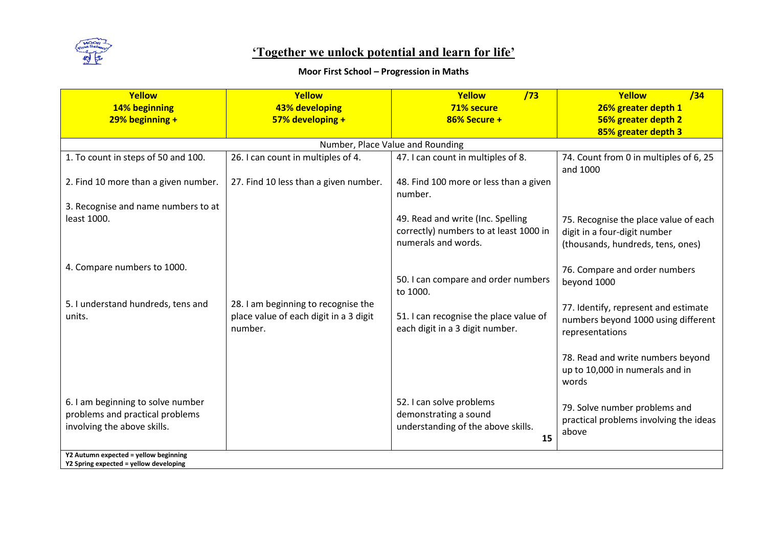

## **Moor First School – Progression in Maths**

| Yellow                                                                                              | Yellow                                                                                   | Yellow<br>/73                                                                                      | Yellow<br>/34                                                                                              |
|-----------------------------------------------------------------------------------------------------|------------------------------------------------------------------------------------------|----------------------------------------------------------------------------------------------------|------------------------------------------------------------------------------------------------------------|
| 14% beginning                                                                                       | 43% developing                                                                           | 71% secure                                                                                         | 26% greater depth 1                                                                                        |
| $29%$ beginning +                                                                                   | 57% developing +                                                                         | 86% Secure +                                                                                       | 56% greater depth 2                                                                                        |
|                                                                                                     |                                                                                          |                                                                                                    | 85% greater depth 3                                                                                        |
|                                                                                                     |                                                                                          | Number, Place Value and Rounding                                                                   |                                                                                                            |
| 1. To count in steps of 50 and 100.                                                                 | 26. I can count in multiples of 4.                                                       | 47. I can count in multiples of 8.                                                                 | 74. Count from 0 in multiples of 6, 25<br>and 1000                                                         |
| 2. Find 10 more than a given number.                                                                | 27. Find 10 less than a given number.                                                    | 48. Find 100 more or less than a given<br>number.                                                  |                                                                                                            |
| 3. Recognise and name numbers to at                                                                 |                                                                                          |                                                                                                    |                                                                                                            |
| least 1000.                                                                                         |                                                                                          | 49. Read and write (Inc. Spelling<br>correctly) numbers to at least 1000 in<br>numerals and words. | 75. Recognise the place value of each<br>digit in a four-digit number<br>(thousands, hundreds, tens, ones) |
| 4. Compare numbers to 1000.                                                                         |                                                                                          | 50. I can compare and order numbers<br>to 1000.                                                    | 76. Compare and order numbers<br>beyond 1000                                                               |
| 5. I understand hundreds, tens and<br>units.                                                        | 28. I am beginning to recognise the<br>place value of each digit in a 3 digit<br>number. | 51. I can recognise the place value of<br>each digit in a 3 digit number.                          | 77. Identify, represent and estimate<br>numbers beyond 1000 using different<br>representations             |
|                                                                                                     |                                                                                          |                                                                                                    | 78. Read and write numbers beyond<br>up to 10,000 in numerals and in<br>words                              |
| 6. I am beginning to solve number<br>problems and practical problems<br>involving the above skills. |                                                                                          | 52. I can solve problems<br>demonstrating a sound<br>understanding of the above skills.<br>15      | 79. Solve number problems and<br>practical problems involving the ideas<br>above                           |
| Y2 Autumn expected = yellow beginning<br>Y2 Spring expected = yellow developing                     |                                                                                          |                                                                                                    |                                                                                                            |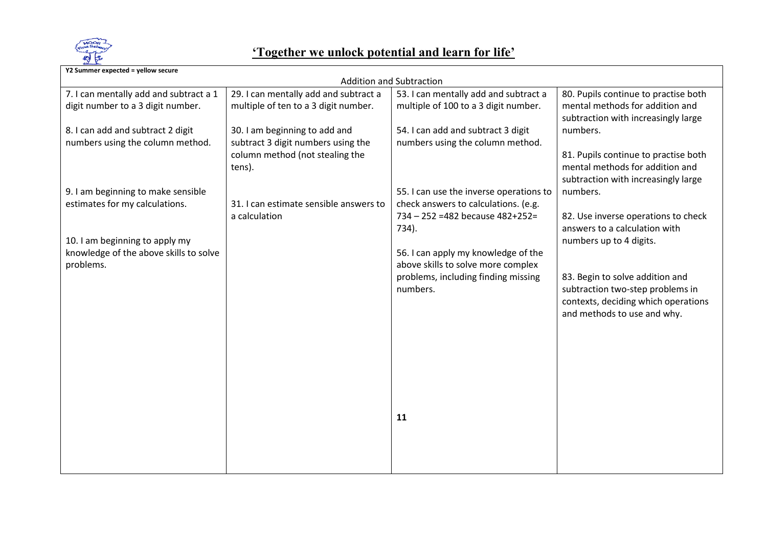

| Y2 Summer expected = yellow secure     |                                        |                                         |                                      |  |  |
|----------------------------------------|----------------------------------------|-----------------------------------------|--------------------------------------|--|--|
| <b>Addition and Subtraction</b>        |                                        |                                         |                                      |  |  |
| 7. I can mentally add and subtract a 1 | 29. I can mentally add and subtract a  | 53. I can mentally add and subtract a   | 80. Pupils continue to practise both |  |  |
| digit number to a 3 digit number.      | multiple of ten to a 3 digit number.   | multiple of 100 to a 3 digit number.    | mental methods for addition and      |  |  |
|                                        |                                        |                                         | subtraction with increasingly large  |  |  |
| 8. I can add and subtract 2 digit      | 30. I am beginning to add and          | 54. I can add and subtract 3 digit      | numbers.                             |  |  |
| numbers using the column method.       | subtract 3 digit numbers using the     | numbers using the column method.        |                                      |  |  |
|                                        | column method (not stealing the        |                                         | 81. Pupils continue to practise both |  |  |
|                                        | tens).                                 |                                         | mental methods for addition and      |  |  |
|                                        |                                        |                                         | subtraction with increasingly large  |  |  |
| 9. I am beginning to make sensible     |                                        | 55. I can use the inverse operations to | numbers.                             |  |  |
| estimates for my calculations.         | 31. I can estimate sensible answers to | check answers to calculations. (e.g.    |                                      |  |  |
|                                        | a calculation                          | 734 - 252 = 482 because 482+252=        | 82. Use inverse operations to check  |  |  |
|                                        |                                        | 734).                                   | answers to a calculation with        |  |  |
| 10. I am beginning to apply my         |                                        |                                         | numbers up to 4 digits.              |  |  |
| knowledge of the above skills to solve |                                        | 56. I can apply my knowledge of the     |                                      |  |  |
| problems.                              |                                        | above skills to solve more complex      |                                      |  |  |
|                                        |                                        | problems, including finding missing     | 83. Begin to solve addition and      |  |  |
|                                        |                                        | numbers.                                | subtraction two-step problems in     |  |  |
|                                        |                                        |                                         | contexts, deciding which operations  |  |  |
|                                        |                                        |                                         | and methods to use and why.          |  |  |
|                                        |                                        |                                         |                                      |  |  |
|                                        |                                        |                                         |                                      |  |  |
|                                        |                                        |                                         |                                      |  |  |
|                                        |                                        |                                         |                                      |  |  |
|                                        |                                        |                                         |                                      |  |  |
|                                        |                                        |                                         |                                      |  |  |
|                                        |                                        |                                         |                                      |  |  |
|                                        |                                        | 11                                      |                                      |  |  |
|                                        |                                        |                                         |                                      |  |  |
|                                        |                                        |                                         |                                      |  |  |
|                                        |                                        |                                         |                                      |  |  |
|                                        |                                        |                                         |                                      |  |  |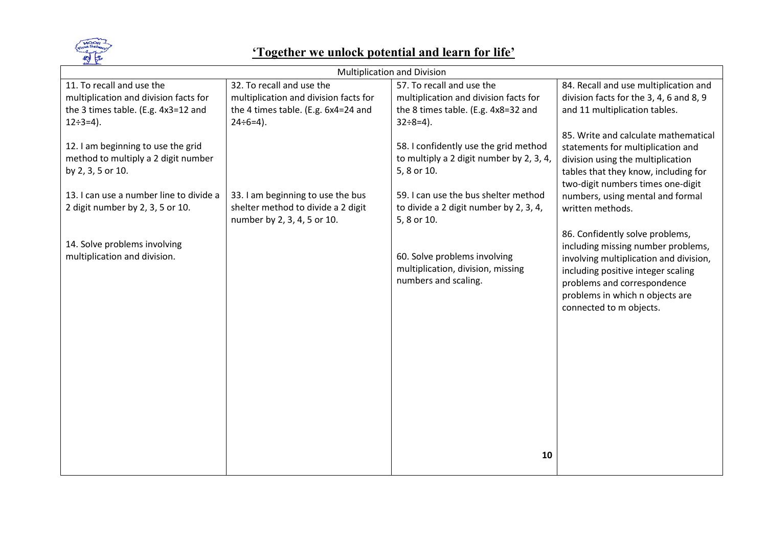

| <b>Multiplication and Division</b>                                                             |                                                                   |                                                                                                  |                                                                                                                                                                                                                 |  |
|------------------------------------------------------------------------------------------------|-------------------------------------------------------------------|--------------------------------------------------------------------------------------------------|-----------------------------------------------------------------------------------------------------------------------------------------------------------------------------------------------------------------|--|
| 11. To recall and use the                                                                      | 32. To recall and use the                                         | 57. To recall and use the                                                                        | 84. Recall and use multiplication and                                                                                                                                                                           |  |
| multiplication and division facts for                                                          | multiplication and division facts for                             | multiplication and division facts for                                                            | division facts for the 3, 4, 6 and 8, 9                                                                                                                                                                         |  |
| the 3 times table. (E.g. 4x3=12 and                                                            | the 4 times table. (E.g. 6x4=24 and                               | the 8 times table. (E.g. 4x8=32 and                                                              | and 11 multiplication tables.                                                                                                                                                                                   |  |
| $12 \div 3 = 4$ ).                                                                             | $24 \div 6 = 4$ ).                                                | $32 \div 8 = 4$ ).                                                                               |                                                                                                                                                                                                                 |  |
| 12. I am beginning to use the grid<br>method to multiply a 2 digit number<br>by 2, 3, 5 or 10. |                                                                   | 58. I confidently use the grid method<br>to multiply a 2 digit number by 2, 3, 4,<br>5, 8 or 10. | 85. Write and calculate mathematical<br>statements for multiplication and<br>division using the multiplication<br>tables that they know, including for<br>two-digit numbers times one-digit                     |  |
| 13. I can use a number line to divide a                                                        | 33. I am beginning to use the bus                                 | 59. I can use the bus shelter method                                                             | numbers, using mental and formal                                                                                                                                                                                |  |
| 2 digit number by 2, 3, 5 or 10.                                                               | shelter method to divide a 2 digit<br>number by 2, 3, 4, 5 or 10. | to divide a 2 digit number by 2, 3, 4,<br>5, 8 or 10.                                            | written methods.                                                                                                                                                                                                |  |
| 14. Solve problems involving                                                                   |                                                                   |                                                                                                  | 86. Confidently solve problems,                                                                                                                                                                                 |  |
| multiplication and division.                                                                   |                                                                   | 60. Solve problems involving<br>multiplication, division, missing<br>numbers and scaling.        | including missing number problems,<br>involving multiplication and division,<br>including positive integer scaling<br>problems and correspondence<br>problems in which n objects are<br>connected to m objects. |  |
|                                                                                                |                                                                   |                                                                                                  |                                                                                                                                                                                                                 |  |
|                                                                                                |                                                                   |                                                                                                  |                                                                                                                                                                                                                 |  |
|                                                                                                |                                                                   |                                                                                                  |                                                                                                                                                                                                                 |  |
|                                                                                                |                                                                   |                                                                                                  |                                                                                                                                                                                                                 |  |
|                                                                                                |                                                                   |                                                                                                  |                                                                                                                                                                                                                 |  |
|                                                                                                |                                                                   | 10                                                                                               |                                                                                                                                                                                                                 |  |
|                                                                                                |                                                                   |                                                                                                  |                                                                                                                                                                                                                 |  |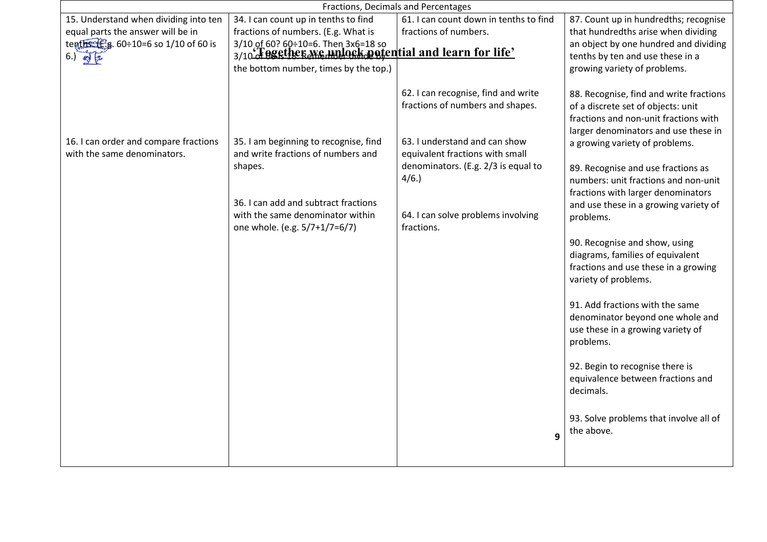| Fractions, Decimals and Percentages                                  |                                                                                                                                                                                                     |                                                                                                                                                                                                                                                     |                                                                                                                                                                                                                                                                                                                                                                                                                                                                                                                                                                                                                                                                                                                                                                                       |  |
|----------------------------------------------------------------------|-----------------------------------------------------------------------------------------------------------------------------------------------------------------------------------------------------|-----------------------------------------------------------------------------------------------------------------------------------------------------------------------------------------------------------------------------------------------------|---------------------------------------------------------------------------------------------------------------------------------------------------------------------------------------------------------------------------------------------------------------------------------------------------------------------------------------------------------------------------------------------------------------------------------------------------------------------------------------------------------------------------------------------------------------------------------------------------------------------------------------------------------------------------------------------------------------------------------------------------------------------------------------|--|
| 15. Understand when dividing into ten                                | 34. I can count up in tenths to find                                                                                                                                                                | 61. I can count down in tenths to find                                                                                                                                                                                                              | 87. Count up in hundredths; recognise                                                                                                                                                                                                                                                                                                                                                                                                                                                                                                                                                                                                                                                                                                                                                 |  |
| equal parts the answer will be in                                    | fractions of numbers. (E.g. What is                                                                                                                                                                 | fractions of numbers.                                                                                                                                                                                                                               | that hundredths arise when dividing                                                                                                                                                                                                                                                                                                                                                                                                                                                                                                                                                                                                                                                                                                                                                   |  |
| tenths (Eg. 60÷10=6 so 1/10 of 60 is                                 | 3/10 of 60? 60÷10=6. Then 3x6=18 so<br>3/10 Fegsther <i>Memplork</i> potential and learn for life'                                                                                                  |                                                                                                                                                                                                                                                     | an object by one hundred and dividing                                                                                                                                                                                                                                                                                                                                                                                                                                                                                                                                                                                                                                                                                                                                                 |  |
| $6.)$ $\frac{1}{2}$ $\frac{1}{2}$                                    |                                                                                                                                                                                                     |                                                                                                                                                                                                                                                     | tenths by ten and use these in a                                                                                                                                                                                                                                                                                                                                                                                                                                                                                                                                                                                                                                                                                                                                                      |  |
|                                                                      | the bottom number, times by the top.)                                                                                                                                                               |                                                                                                                                                                                                                                                     | growing variety of problems.                                                                                                                                                                                                                                                                                                                                                                                                                                                                                                                                                                                                                                                                                                                                                          |  |
| 16. I can order and compare fractions<br>with the same denominators. | 35. I am beginning to recognise, find<br>and write fractions of numbers and<br>shapes.<br>36. I can add and subtract fractions<br>with the same denominator within<br>one whole. (e.g. 5/7+1/7=6/7) | 62. I can recognise, find and write<br>fractions of numbers and shapes.<br>63. I understand and can show<br>equivalent fractions with small<br>denominators. (E.g. 2/3 is equal to<br>4/6.<br>64. I can solve problems involving<br>fractions.<br>9 | 88. Recognise, find and write fractions<br>of a discrete set of objects: unit<br>fractions and non-unit fractions with<br>larger denominators and use these in<br>a growing variety of problems.<br>89. Recognise and use fractions as<br>numbers: unit fractions and non-unit<br>fractions with larger denominators<br>and use these in a growing variety of<br>problems.<br>90. Recognise and show, using<br>diagrams, families of equivalent<br>fractions and use these in a growing<br>variety of problems.<br>91. Add fractions with the same<br>denominator beyond one whole and<br>use these in a growing variety of<br>problems.<br>92. Begin to recognise there is<br>equivalence between fractions and<br>decimals.<br>93. Solve problems that involve all of<br>the above. |  |
|                                                                      |                                                                                                                                                                                                     |                                                                                                                                                                                                                                                     |                                                                                                                                                                                                                                                                                                                                                                                                                                                                                                                                                                                                                                                                                                                                                                                       |  |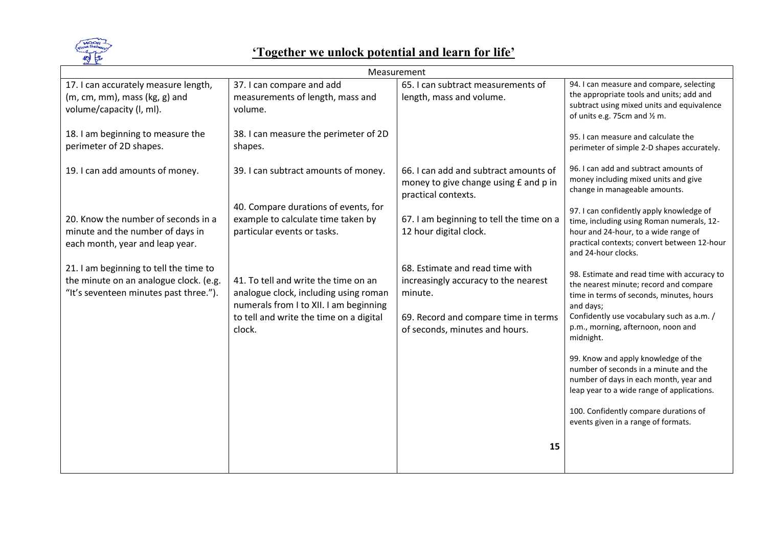

| Measurement                            |                                         |                                          |                                                                                       |
|----------------------------------------|-----------------------------------------|------------------------------------------|---------------------------------------------------------------------------------------|
| 17. I can accurately measure length,   | 37. I can compare and add               | 65. I can subtract measurements of       | 94. I can measure and compare, selecting                                              |
| $(m, cm, mm)$ , mass $(kg, g)$ and     | measurements of length, mass and        | length, mass and volume.                 | the appropriate tools and units; add and                                              |
| volume/capacity (I, ml).               | volume.                                 |                                          | subtract using mixed units and equivalence<br>of units e.g. 75cm and $\frac{1}{2}$ m. |
|                                        |                                         |                                          |                                                                                       |
| 18. I am beginning to measure the      | 38. I can measure the perimeter of 2D   |                                          | 95. I can measure and calculate the                                                   |
| perimeter of 2D shapes.                | shapes.                                 |                                          | perimeter of simple 2-D shapes accurately.                                            |
|                                        |                                         |                                          |                                                                                       |
| 19. I can add amounts of money.        | 39. I can subtract amounts of money.    | 66. I can add and subtract amounts of    | 96. I can add and subtract amounts of                                                 |
|                                        |                                         | money to give change using £ and p in    | money including mixed units and give<br>change in manageable amounts.                 |
|                                        |                                         | practical contexts.                      |                                                                                       |
|                                        | 40. Compare durations of events, for    |                                          | 97. I can confidently apply knowledge of                                              |
| 20. Know the number of seconds in a    | example to calculate time taken by      | 67. I am beginning to tell the time on a | time, including using Roman numerals, 12-                                             |
| minute and the number of days in       | particular events or tasks.             | 12 hour digital clock.                   | hour and 24-hour, to a wide range of                                                  |
| each month, year and leap year.        |                                         |                                          | practical contexts; convert between 12-hour<br>and 24-hour clocks.                    |
|                                        |                                         |                                          |                                                                                       |
| 21. I am beginning to tell the time to |                                         | 68. Estimate and read time with          | 98. Estimate and read time with accuracy to                                           |
| the minute on an analogue clock. (e.g. | 41. To tell and write the time on an    | increasingly accuracy to the nearest     | the nearest minute; record and compare                                                |
| "It's seventeen minutes past three."). | analogue clock, including using roman   | minute.                                  | time in terms of seconds, minutes, hours                                              |
|                                        | numerals from I to XII. I am beginning  |                                          | and days;<br>Confidently use vocabulary such as a.m. /                                |
|                                        | to tell and write the time on a digital | 69. Record and compare time in terms     | p.m., morning, afternoon, noon and                                                    |
|                                        | clock.                                  | of seconds, minutes and hours.           | midnight.                                                                             |
|                                        |                                         |                                          |                                                                                       |
|                                        |                                         |                                          | 99. Know and apply knowledge of the                                                   |
|                                        |                                         |                                          | number of seconds in a minute and the                                                 |
|                                        |                                         |                                          | number of days in each month, year and<br>leap year to a wide range of applications.  |
|                                        |                                         |                                          |                                                                                       |
|                                        |                                         |                                          | 100. Confidently compare durations of                                                 |
|                                        |                                         |                                          | events given in a range of formats.                                                   |
|                                        |                                         |                                          |                                                                                       |
|                                        |                                         | 15                                       |                                                                                       |
|                                        |                                         |                                          |                                                                                       |
|                                        |                                         |                                          |                                                                                       |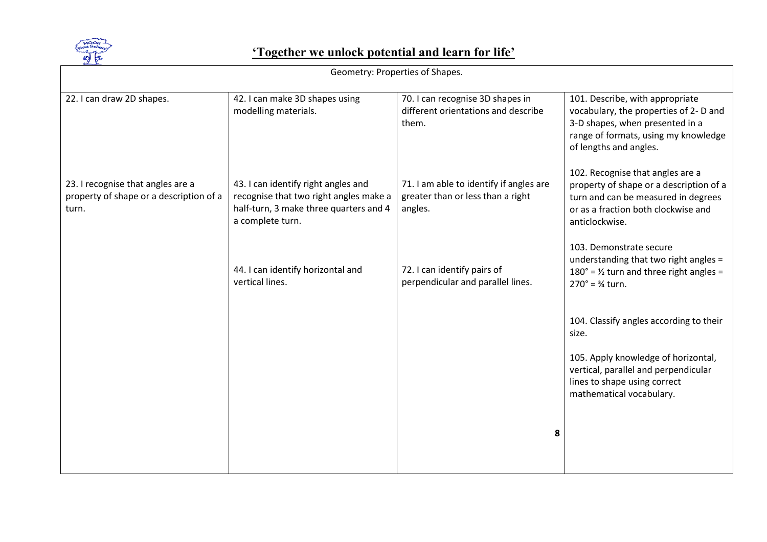

| Geometry: Properties of Shapes.                                                       |                                                                                                                                             |                                                                                         |                                                                                                                                                                                |
|---------------------------------------------------------------------------------------|---------------------------------------------------------------------------------------------------------------------------------------------|-----------------------------------------------------------------------------------------|--------------------------------------------------------------------------------------------------------------------------------------------------------------------------------|
| 22. I can draw 2D shapes.                                                             | 42. I can make 3D shapes using<br>modelling materials.                                                                                      | 70. I can recognise 3D shapes in<br>different orientations and describe<br>them.        | 101. Describe, with appropriate<br>vocabulary, the properties of 2- D and<br>3-D shapes, when presented in a<br>range of formats, using my knowledge<br>of lengths and angles. |
| 23. I recognise that angles are a<br>property of shape or a description of a<br>turn. | 43. I can identify right angles and<br>recognise that two right angles make a<br>half-turn, 3 make three quarters and 4<br>a complete turn. | 71. I am able to identify if angles are<br>greater than or less than a right<br>angles. | 102. Recognise that angles are a<br>property of shape or a description of a<br>turn and can be measured in degrees<br>or as a fraction both clockwise and<br>anticlockwise.    |
|                                                                                       | 44. I can identify horizontal and<br>vertical lines.                                                                                        | 72. I can identify pairs of<br>perpendicular and parallel lines.                        | 103. Demonstrate secure<br>understanding that two right angles =<br>$180^\circ$ = 1/ <sub>2</sub> turn and three right angles =<br>$270^{\circ}$ = $\frac{3}{4}$ turn.         |
|                                                                                       |                                                                                                                                             |                                                                                         | 104. Classify angles according to their<br>size.                                                                                                                               |
|                                                                                       |                                                                                                                                             |                                                                                         | 105. Apply knowledge of horizontal,<br>vertical, parallel and perpendicular<br>lines to shape using correct<br>mathematical vocabulary.                                        |
|                                                                                       |                                                                                                                                             | 8                                                                                       |                                                                                                                                                                                |